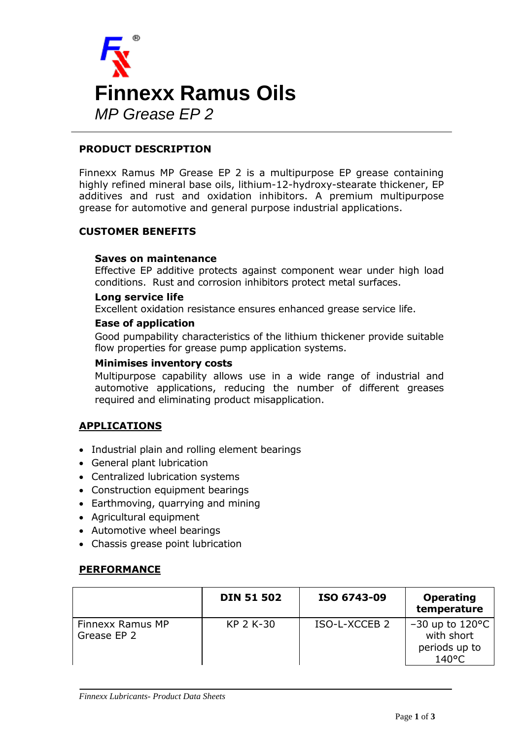

# **PRODUCT DESCRIPTION**

Finnexx Ramus MP Grease EP 2 is a multipurpose EP grease containing highly refined mineral base oils, lithium-12-hydroxy-stearate thickener, EP additives and rust and oxidation inhibitors. A premium multipurpose grease for automotive and general purpose industrial applications.

## **CUSTOMER BENEFITS**

## **Saves on maintenance**

Effective EP additive protects against component wear under high load conditions. Rust and corrosion inhibitors protect metal surfaces.

## **Long service life**

Excellent oxidation resistance ensures enhanced grease service life.

## **Ease of application**

Good pumpability characteristics of the lithium thickener provide suitable flow properties for grease pump application systems.

#### **Minimises inventory costs**

Multipurpose capability allows use in a wide range of industrial and automotive applications, reducing the number of different greases required and eliminating product misapplication.

# **APPLICATIONS**

- Industrial plain and rolling element bearings
- General plant lubrication
- Centralized lubrication systems
- Construction equipment bearings
- Earthmoving, quarrying and mining
- Agricultural equipment
- Automotive wheel bearings
- Chassis grease point lubrication

## **PERFORMANCE**

|                                 | <b>DIN 51 502</b> | ISO 6743-09   | <b>Operating</b><br>temperature                                               |
|---------------------------------|-------------------|---------------|-------------------------------------------------------------------------------|
| Finnexx Ramus MP<br>Grease EP 2 | KP 2 K-30         | ISO-L-XCCEB 2 | $-30$ up to 120 $\degree$ C<br>with short<br>periods up to<br>$140^{\circ}$ C |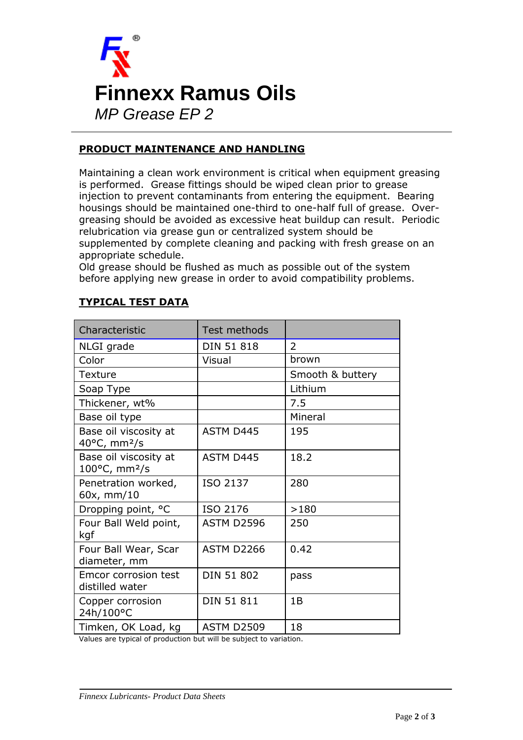

# **PRODUCT MAINTENANCE AND HANDLING**

Maintaining a clean work environment is critical when equipment greasing is performed. Grease fittings should be wiped clean prior to grease injection to prevent contaminants from entering the equipment. Bearing housings should be maintained one-third to one-half full of grease. Overgreasing should be avoided as excessive heat buildup can result. Periodic relubrication via grease gun or centralized system should be supplemented by complete cleaning and packing with fresh grease on an appropriate schedule.

Old grease should be flushed as much as possible out of the system before applying new grease in order to avoid compatibility problems.

| Characteristic                                               | Test methods      |                  |
|--------------------------------------------------------------|-------------------|------------------|
| NLGI grade                                                   | <b>DIN 51 818</b> | 2                |
| Color                                                        | Visual            | brown            |
| Texture                                                      |                   | Smooth & buttery |
| Soap Type                                                    |                   | Lithium          |
| Thickener, wt%                                               |                   | 7.5              |
| Base oil type                                                |                   | Mineral          |
| Base oil viscosity at<br>$40^{\circ}$ C, mm <sup>2</sup> /s  | <b>ASTM D445</b>  | 195              |
| Base oil viscosity at<br>$100^{\circ}$ C, mm <sup>2</sup> /s | <b>ASTM D445</b>  | 18.2             |
| Penetration worked,<br>60x, mm/10                            | ISO 2137          | 280              |
| Dropping point, °C                                           | ISO 2176          | >180             |
| Four Ball Weld point,<br>kgf                                 | <b>ASTM D2596</b> | 250              |
| Four Ball Wear, Scar<br>diameter, mm                         | <b>ASTM D2266</b> | 0.42             |
| Emcor corrosion test<br>distilled water                      | <b>DIN 51 802</b> | pass             |
| Copper corrosion<br>24h/100°C                                | <b>DIN 51 811</b> | 1B               |
| Timken, OK Load, kg                                          | <b>ASTM D2509</b> | 18               |

# **TYPICAL TEST DATA**

Values are typical of production but will be subject to variation.